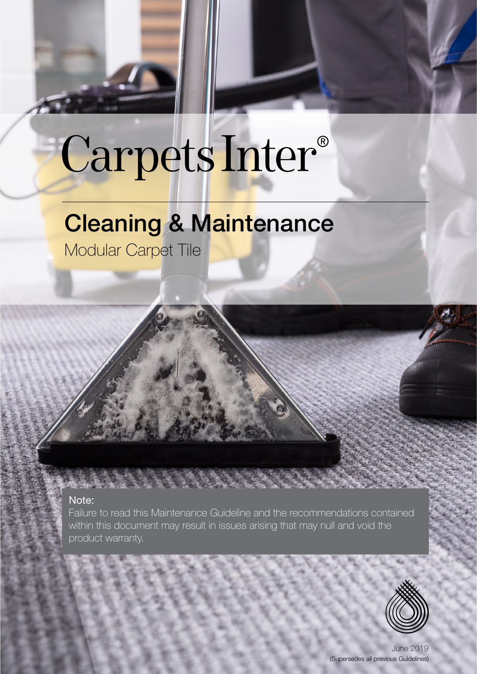# Carpets Inter®

# Cleaning & Maintenance

Modular Carpet Tile

# Note:

Failure to read this Maintenance Guideline and the recommendations contained within this document may result in issues arising that may null and void the product warranty.



June 2019 (Supersedes all previous Guidelines)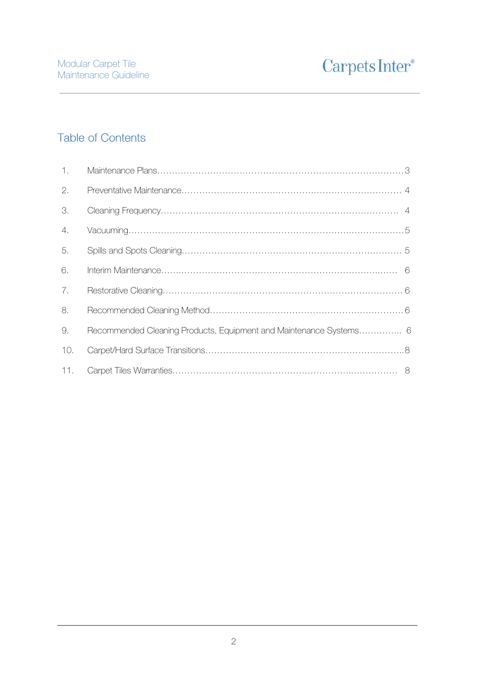# Table of Contents

| 1.  |                                                                    |
|-----|--------------------------------------------------------------------|
| 2.  |                                                                    |
| 3.  |                                                                    |
| 4.  |                                                                    |
| 5.  |                                                                    |
| 6.  |                                                                    |
| 7.  |                                                                    |
| 8.  |                                                                    |
| 9.  | Recommended Cleaning Products, Equipment and Maintenance Systems 6 |
| 10. |                                                                    |
| 11. |                                                                    |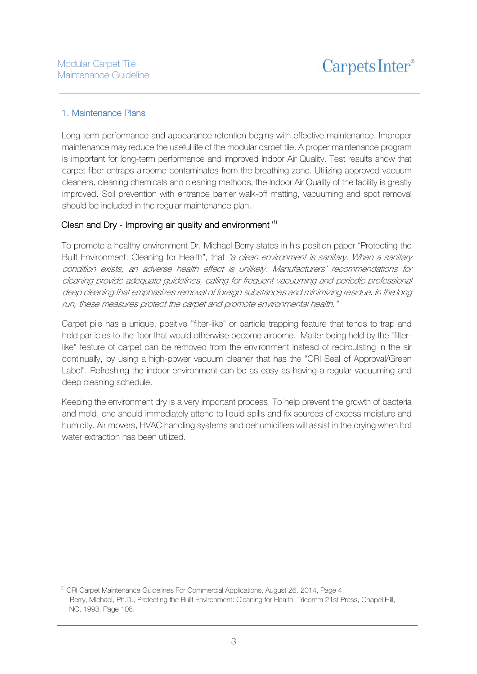#### 1. Maintenance Plans 1. Maintenance Plans

Long term performance and appearance retention begins with effective maintenance. Improper maintenance may reduce the useful life of the modular carpet tile. A proper maintenance program is important for long-term performance and improved Indoor Air Quality. Test results show that carpet fiber entraps airborne contaminates from the breathing zone. Utilizing approved vacuum cleaners, cleaning chemicals and cleaning methods, the Indoor Air Quality of the facility is greatly improved. Soil prevention with entrance barrier walk-off matting, vacuuming and spot removal should be included in the regular maintenance plan.

#### Clean and Dry - Improving air quality and environment  $\binom{11}{1}$

To promote a healthy environment Dr. Michael Berry states in his position paper "Protecting the Built Environment: Cleaning for Health", that "a clean environment is sanitary. When a sanitary condition exists, an adverse health effect is unlikely. Manufacturers' recommendations for cleaning provide adequate guidelines, calling for frequent vacuuming and periodic professional deep cleaning that emphasizes removal of foreign substances and minimizing residue. In the long run, these measures protect the carpet and promote environmental health."

Carpet pile has a unique, positive ''filter-like" or particle trapping feature that tends to trap and hold particles to the floor that would otherwise become airborne. Matter being held by the "filterlike" feature of carpet can be removed from the environment instead of recirculating in the air continually, by using a high-power vacuum cleaner that has the "CRI Seal of Approval/Green Label". Refreshing the indoor environment can be as easy as having a regular vacuuming and deep cleaning schedule.

Keeping the environment dry is a very important process. To help prevent the growth of bacteria and mold, one should immediately attend to liquid spills and fix sources of excess moisture and humidity. Air movers, HVAC handling systems and dehumidifiers will assist in the drying when hot water extraction has been utilized.

<sup>(1)</sup> CRI Carpet Maintenance Guidelines For Commercial Applications, August 26, 2014, Page 4. Berry, Michael, Ph.D., Protecting the Built Environment: Cleaning for Health, Tricomm 21st Press, Chapel Hill, NC, 1993, Page 108.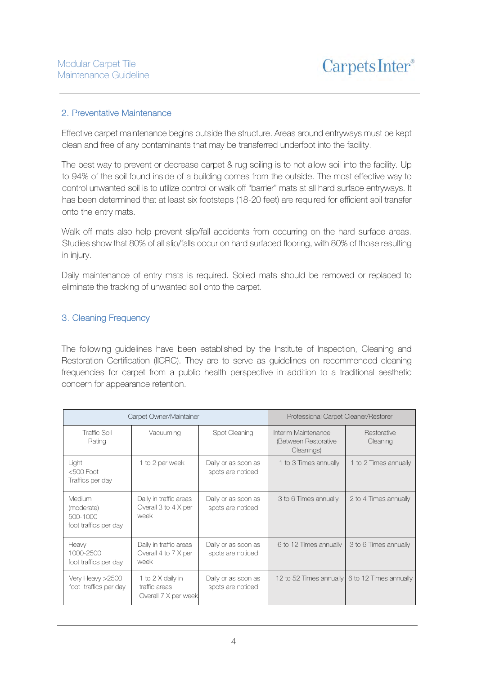#### 2. Preventative Maintenance

Effective carpet maintenance begins outside the structure. Areas around entryways must be kept clean and free of any contaminants that may be transferred underfoot into the facility.

The best way to prevent or decrease carpet & rug soiling is to not allow soil into the facility. Up to 94% of the soil found inside of a building comes from the outside. The most effective way to control unwanted soil is to utilize control or walk off "barrier" mats at all hard surface entryways. It has been determined that at least six footsteps (18-20 feet) are required for efficient soil transfer onto the entry mats.

Walk off mats also help prevent slip/fall accidents from occurring on the hard surface areas. Studies show that 80% of all slip/falls occur on hard surfaced flooring, with 80% of those resulting in injury.

Daily maintenance of entry mats is required. Soiled mats should be removed or replaced to eliminate the tracking of unwanted soil onto the carpet.

# 3. Cleaning Frequency 3. Cleaning Frequency

The following guidelines have been established by the Institute of Inspection, Cleaning and Restoration Certification (IICRC). They are to serve as guidelines on recommended cleaning frequencies for carpet from a public health perspective in addition to a traditional aesthetic concern for appearance retention.

|                                                           | Carpet Owner/Maintainer                                    | Professional Carpet Cleaner/Restorer     |                                                           |                         |
|-----------------------------------------------------------|------------------------------------------------------------|------------------------------------------|-----------------------------------------------------------|-------------------------|
| <b>Traffic Soil</b><br>Rating                             | Vacuuming                                                  | Spot Cleaning                            | Interim Maintenance<br>(Between Restorative<br>Cleanings) | Restorative<br>Cleaning |
| Light<br>$<$ 500 Foot<br>Traffics per day                 | 1 to 2 per week                                            | Daily or as soon as<br>spots are noticed | 1 to 3 Times annually                                     | 1 to 2 Times annually   |
| Medium<br>(moderate)<br>500-1000<br>foot traffics per day | Daily in traffic areas<br>Overall 3 to 4 X per<br>week     | Daily or as soon as<br>spots are noticed | 3 to 6 Times annually                                     | 2 to 4 Times annually   |
| Heavy<br>1000-2500<br>foot traffics per day               | Daily in traffic areas<br>Overall 4 to 7 X per<br>week     | Daily or as soon as<br>spots are noticed | 6 to 12 Times annually                                    | 3 to 6 Times annually   |
| Very Heavy >2500<br>foot traffics per day                 | 1 to 2 X daily in<br>traffic areas<br>Overall 7 X per week | Daily or as soon as<br>spots are noticed | 12 to 52 Times annually 6 to 12 Times annually            |                         |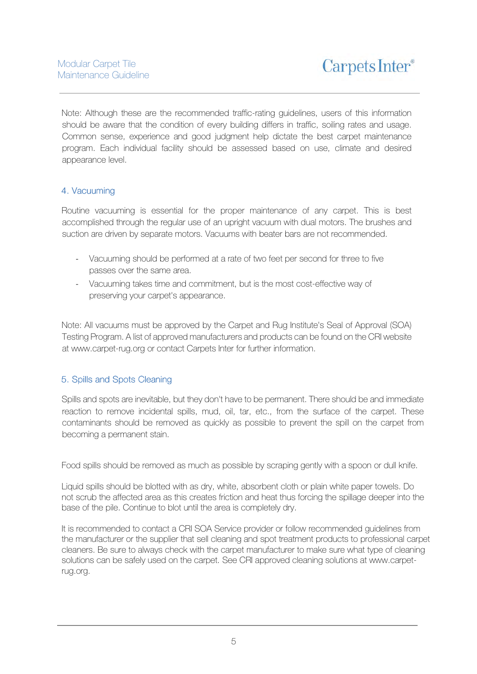Note: Although these are the recommended traffic-rating guidelines, users of this information should be aware that the condition of every building differs in traffic, soiling rates and usage. Common sense, experience and good judgment help dictate the best carpet maintenance program. Each individual facility should be assessed based on use, climate and desired appearance level.

# 4. Vacuuming

Routine vacuuming is essential for the proper maintenance of any carpet. This is best accomplished through the regular use of an upright vacuum with dual motors. The brushes and suction are driven by separate motors. Vacuums with beater bars are not recommended.

- Vacuuming should be performed at a rate of two feet per second for three to five passes over the same area.
- Vacuuming takes time and commitment, but is the most cost-effective way of preserving your carpet's appearance.

Note: All vacuums must be approved by the Carpet and Rug Institute's Seal of Approval (SOA) Testing Program. A list of approved manufacturers and products can be found on the CRI website at www.carpet-rug.org or contact Carpets Inter for further information.

#### 5. Spills and Spots Cleaning

Spills and spots are inevitable, but they don't have to be permanent. There should be and immediate reaction to remove incidental spills, mud, oil, tar, etc., from the surface of the carpet. These contaminants should be removed as quickly as possible to prevent the spill on the carpet from becoming a permanent stain.

Food spills should be removed as much as possible by scraping gently with a spoon or dull knife.

Liquid spills should be blotted with as dry, white, absorbent cloth or plain white paper towels. Do not scrub the affected area as this creates friction and heat thus forcing the spillage deeper into the base of the pile. Continue to blot until the area is completely dry.

It is recommended to contact a CRI SOA Service provider or follow recommended guidelines from the manufacturer or the supplier that sell cleaning and spot treatment products to professional carpet cleaners. Be sure to always check with the carpet manufacturer to make sure what type of cleaning solutions can be safely used on the carpet. See CRI approved cleaning solutions at www.carpetrug.org.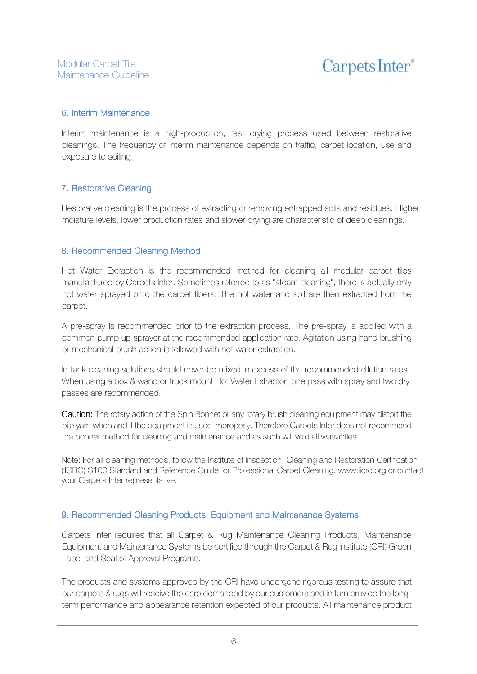Carpets Inter<sup>®</sup>

#### 6. Interim Maintenance 6. Interim Maintenance .

Interim maintenance is a high-production, fast drying process used between restorative cleanings. The frequency of interim maintenance depends on traffic, carpet location, use and exposure to soiling.

#### 7. Restorative Cleaning

Restorative cleaning is the process of extracting or removing entrapped soils and residues. Higher moisture levels, lower production rates and slower drying are characteristic of deep cleanings.

#### 8. Recommended Cleaning Method

Hot Water Extraction is the recommended method for cleaning all modular carpet tiles manufactured by Carpets Inter. Sometimes referred to as "steam cleaning", there is actually only hot water sprayed onto the carpet fibers. The hot water and soil are then extracted from the carpet.

A pre-spray is recommended prior to the extraction process. The pre-spray is applied with a common pump up sprayer at the recommended application rate. Agitation using hand brushing or mechanical brush action is followed with hot water extraction.

In-tank cleaning solutions should never be mixed in excess of the recommended dilution rates. When using a box & wand or truck mount Hot Water Extractor, one pass with spray and two dry passes are recommended.

Caution: The rotary action of the Spin Bonnet or any rotary brush cleaning equipment may distort the pile yarn when and if the equipment is used improperly. Therefore Carpets Inter does not recommend the bonnet method for cleaning and maintenance and as such will void all warranties.

Note: For all cleaning methods, follow the Institute of Inspection, Cleaning and Restoration Certification (IICRC) S100 Standard and Reference Guide for Professional Carpet Cleaning. www.iicrc.org or contact your Carpets Inter representative.

#### 9. Recommended Cleaning Products, Equipment and Maintenance Systems

Carpets Inter requires that all Carpet & Rug Maintenance Cleaning Products, Maintenance Equipment and Maintenance Systems be certified through the Carpet & Rug Institute (CRI) Green Label and Seal of Approval Programs.

The products and systems approved by the CRI have undergone rigorous testing to assure that our carpets & rugs will receive the care demanded by our customers and in turn provide the longterm performance and appearance retention expected of our products. All maintenance product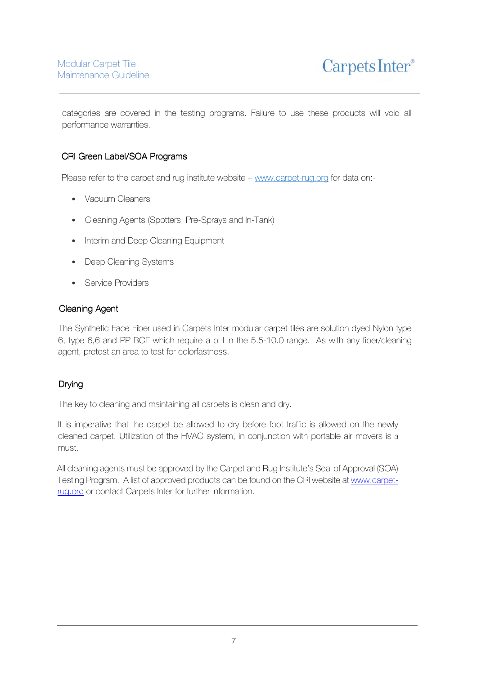categories are covered in the testing programs. Failure to use these products will void all performance warranties.

# CRI Green Label/SOA Programs

Please refer to the carpet and rug institute website – www.carpet-rug.org for data on:-

- Vacuum Cleaners
- Cleaning Agents (Spotters, Pre-Sprays and In-Tank)
- Interim and Deep Cleaning Equipment
- Deep Cleaning Systems
- Service Providers

# **Cleaning Agent**

The Synthetic Face Fiber used in Carpets Inter modular carpet tiles are solution dyed Nylon type 6, type 6,6 and PP BCF which require a pH in the 5.5-10.0 range. As with any fiber/cleaning agent, pretest an area to test for colorfastness.

# Drying

The key to cleaning and maintaining all carpets is clean and dry.

It is imperative that the carpet be allowed to dry before foot traffic is allowed on the newly cleaned carpet. Utilization of the HVAC system, in conjunction with portable air movers is a must.

All cleaning agents must be approved by the Carpet and Rug Institute's Seal of Approval (SOA) Testing Program. A list of approved products can be found on the CRI website at www.carpetrug.org or contact Carpets Inter for further information.